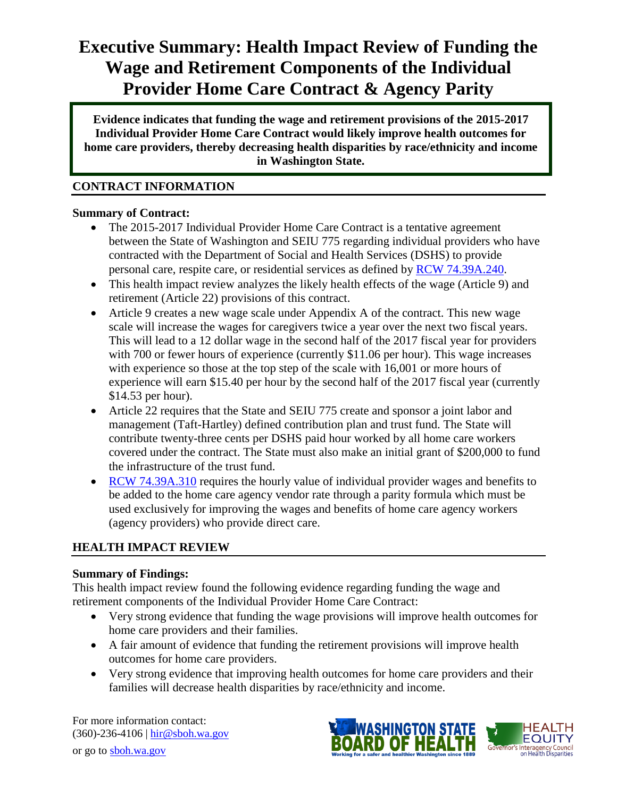# **Executive Summary: Health Impact Review of Funding the Wage and Retirement Components of the Individual Provider Home Care Contract & Agency Parity**

individual **Evidence indicates that funding the wage and retirement provisions of the 2015-2017 Individual Provider Home Care Contract would likely improve health outcomes for home care providers, thereby decreasing health disparities by race/ethnicity and income in Washington State.**

## **CONTRACT INFORMATION**

#### **Summary of Contract:**

- The 2015-2017 Individual Provider Home Care Contract is a tentative agreement between the State of Washington and SEIU 775 regarding individual providers who have contracted with the Department of Social and Health Services (DSHS) to provide personal care, respite care, or residential services as defined by [RCW 74.39A.240.](http://apps.leg.wa.gov/rcw/default.aspx?cite=74.39A.240)
- This health impact review analyzes the likely health effects of the wage (Article 9) and retirement (Article 22) provisions of this contract.
- Article 9 creates a new wage scale under Appendix A of the contract. This new wage scale will increase the wages for caregivers twice a year over the next two fiscal years. This will lead to a 12 dollar wage in the second half of the 2017 fiscal year for providers with 700 or fewer hours of experience (currently \$11.06 per hour). This wage increases with experience so those at the top step of the scale with 16,001 or more hours of experience will earn \$15.40 per hour by the second half of the 2017 fiscal year (currently \$14.53 per hour).
- Article 22 requires that the State and SEIU 775 create and sponsor a joint labor and management (Taft-Hartley) defined contribution plan and trust fund. The State will contribute twenty-three cents per DSHS paid hour worked by all home care workers covered under the contract. The State must also make an initial grant of \$200,000 to fund the infrastructure of the trust fund.
- [RCW 74.39A.310](http://app.leg.wa.gov/rcw/default.aspx?cite=74.39A.310) requires the hourly value of individual provider wages and benefits to be added to the home care agency vendor rate through a parity formula which must be used exclusively for improving the wages and benefits of home care agency workers (agency providers) who provide direct care.

# **HEALTH IMPACT REVIEW**

# **Summary of Findings:**

This health impact review found the following evidence regarding funding the wage and retirement components of the Individual Provider Home Care Contract:

- Very strong evidence that funding the wage provisions will improve health outcomes for home care providers and their families.
- A fair amount of evidence that funding the retirement provisions will improve health outcomes for home care providers.
- Very strong evidence that improving health outcomes for home care providers and their families will decrease health disparities by race/ethnicity and income.

For more information contact: (360)-236-4106 | [hir@sboh.wa.gov](mailto:hir@sboh.wa.gov) or go to [sboh.wa.gov](http://sboh.wa.gov/)

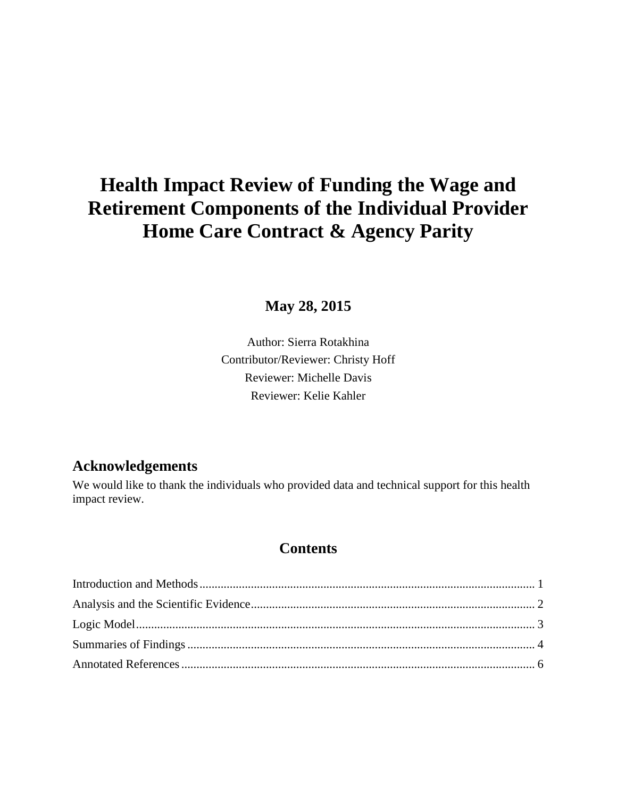# **Health Impact Review of Funding the Wage and Retirement Components of the Individual Provider Home Care Contract & Agency Parity**

# **May 28, 2015**

Author: Sierra Rotakhina Contributor/Reviewer: Christy Hoff Reviewer: Michelle Davis Reviewer: Kelie Kahler

# **Acknowledgements**

We would like to thank the individuals who provided data and technical support for this health impact review.

# **Contents**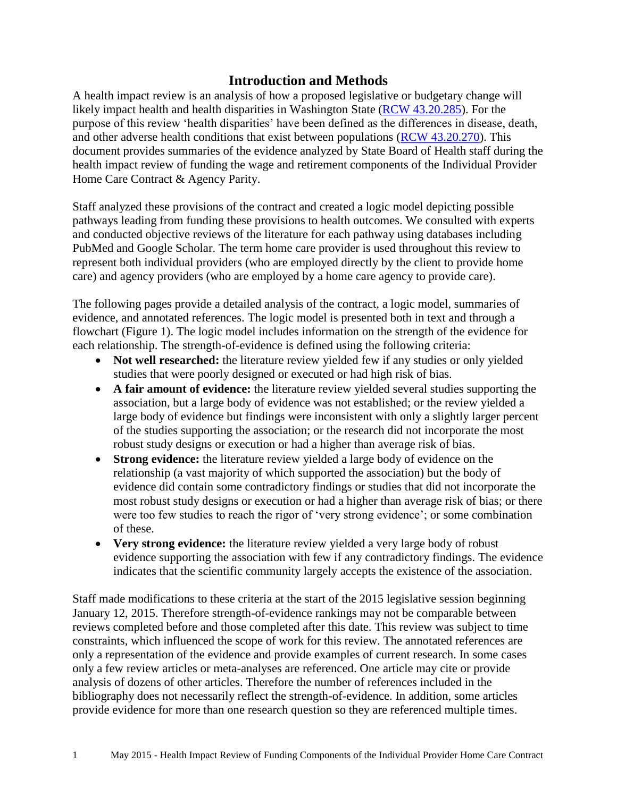# **Introduction and Methods**

<span id="page-2-0"></span>A health impact review is an analysis of how a proposed legislative or budgetary change will likely impact health and health disparities in Washington State [\(RCW 43.20.285\)](http://apps.leg.wa.gov/rcw/default.aspx?cite=43.20.285). For the purpose of this review 'health disparities' have been defined as the differences in disease, death, and other adverse health conditions that exist between populations [\(RCW 43.20.270\)](http://apps.leg.wa.gov/rcw/default.aspx?cite=43.20.270). This document provides summaries of the evidence analyzed by State Board of Health staff during the health impact review of funding the wage and retirement components of the Individual Provider Home Care Contract & Agency Parity.

Staff analyzed these provisions of the contract and created a logic model depicting possible pathways leading from funding these provisions to health outcomes. We consulted with experts and conducted objective reviews of the literature for each pathway using databases including PubMed and Google Scholar. The term home care provider is used throughout this review to represent both individual providers (who are employed directly by the client to provide home care) and agency providers (who are employed by a home care agency to provide care).

The following pages provide a detailed analysis of the contract, a logic model, summaries of evidence, and annotated references. The logic model is presented both in text and through a flowchart (Figure 1). The logic model includes information on the strength of the evidence for each relationship. The strength-of-evidence is defined using the following criteria:

- Not well researched: the literature review vielded few if any studies or only vielded studies that were poorly designed or executed or had high risk of bias.
- **A fair amount of evidence:** the literature review yielded several studies supporting the association, but a large body of evidence was not established; or the review yielded a large body of evidence but findings were inconsistent with only a slightly larger percent of the studies supporting the association; or the research did not incorporate the most robust study designs or execution or had a higher than average risk of bias.
- **Strong evidence:** the literature review yielded a large body of evidence on the relationship (a vast majority of which supported the association) but the body of evidence did contain some contradictory findings or studies that did not incorporate the most robust study designs or execution or had a higher than average risk of bias; or there were too few studies to reach the rigor of 'very strong evidence'; or some combination of these.
- **Very strong evidence:** the literature review yielded a very large body of robust evidence supporting the association with few if any contradictory findings. The evidence indicates that the scientific community largely accepts the existence of the association.

Staff made modifications to these criteria at the start of the 2015 legislative session beginning January 12, 2015. Therefore strength-of-evidence rankings may not be comparable between reviews completed before and those completed after this date. This review was subject to time constraints, which influenced the scope of work for this review. The annotated references are only a representation of the evidence and provide examples of current research. In some cases only a few review articles or meta-analyses are referenced. One article may cite or provide analysis of dozens of other articles. Therefore the number of references included in the bibliography does not necessarily reflect the strength-of-evidence. In addition, some articles provide evidence for more than one research question so they are referenced multiple times.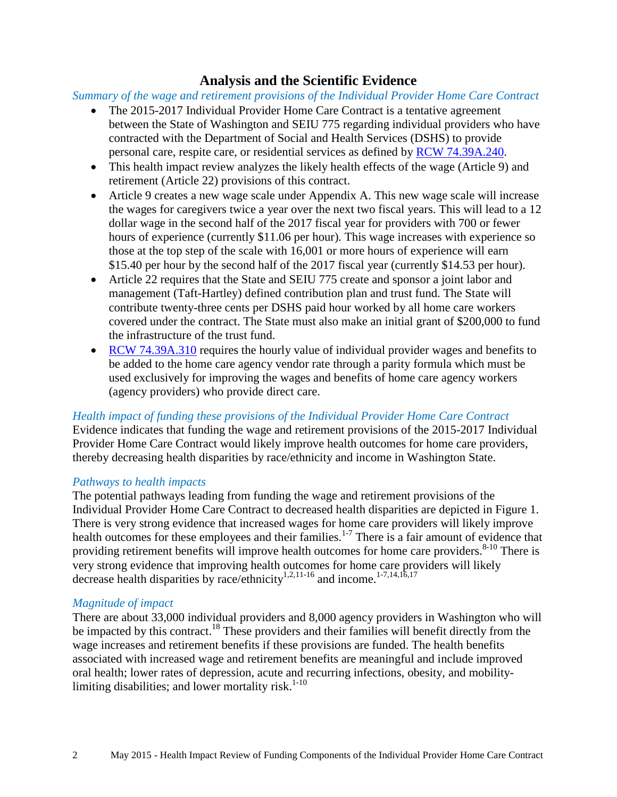# **Analysis and the Scientific Evidence**

<span id="page-3-0"></span>*Summary of the wage and retirement provisions of the Individual Provider Home Care Contract*

- The 2015-2017 Individual Provider Home Care Contract is a tentative agreement between the State of Washington and SEIU 775 regarding individual providers who have contracted with the Department of Social and Health Services (DSHS) to provide personal care, respite care, or residential services as defined by [RCW 74.39A.240.](http://apps.leg.wa.gov/rcw/default.aspx?cite=74.39A.240)
- This health impact review analyzes the likely health effects of the wage (Article 9) and retirement (Article 22) provisions of this contract.
- Article 9 creates a new wage scale under Appendix A. This new wage scale will increase the wages for caregivers twice a year over the next two fiscal years. This will lead to a 12 dollar wage in the second half of the 2017 fiscal year for providers with 700 or fewer hours of experience (currently \$11.06 per hour). This wage increases with experience so those at the top step of the scale with 16,001 or more hours of experience will earn \$15.40 per hour by the second half of the 2017 fiscal year (currently \$14.53 per hour).
- Article 22 requires that the State and SEIU 775 create and sponsor a joint labor and management (Taft-Hartley) defined contribution plan and trust fund. The State will contribute twenty-three cents per DSHS paid hour worked by all home care workers covered under the contract. The State must also make an initial grant of \$200,000 to fund the infrastructure of the trust fund.
- [RCW 74.39A.310](http://app.leg.wa.gov/rcw/default.aspx?cite=74.39A.310) requires the hourly value of individual provider wages and benefits to be added to the home care agency vendor rate through a parity formula which must be used exclusively for improving the wages and benefits of home care agency workers (agency providers) who provide direct care.

#### *Health impact of funding these provisions of the Individual Provider Home Care Contract*

Evidence indicates that funding the wage and retirement provisions of the 2015-2017 Individual Provider Home Care Contract would likely improve health outcomes for home care providers, thereby decreasing health disparities by race/ethnicity and income in Washington State.

#### *Pathways to health impacts*

The potential pathways leading from funding the wage and retirement provisions of the Individual Provider Home Care Contract to decreased health disparities are depicted in Figure 1. There is very strong evidence that increased wages for home care providers will likely improve health outcomes for these employees and their families.<sup>[1-7](#page-7-1)</sup> There is a fair amount of evidence that providing retirement benefits will improve health outcomes for home care providers.<sup>[8-10](#page-8-0)</sup> There is very strong evidence that improving health outcomes for home care providers will likely decrease health disparities by race/ethnicity<sup>[1](#page-7-1)[,2](#page-7-2)[,11-16](#page-9-0)</sup> and income.<sup>[1-7](#page-7-1)[,14](#page-10-0)[,16](#page-11-0)[,17](#page-11-1)</sup>

#### *Magnitude of impact*

There are about 33,000 individual providers and 8,000 agency providers in Washington who will be impacted by this contract.<sup>[18](#page-12-0)</sup> These providers and their families will benefit directly from the wage increases and retirement benefits if these provisions are funded. The health benefits associated with increased wage and retirement benefits are meaningful and include improved oral health; lower rates of depression, acute and recurring infections, obesity, and mobilitylimiting disabilities; and lower mortality risk. $1-10$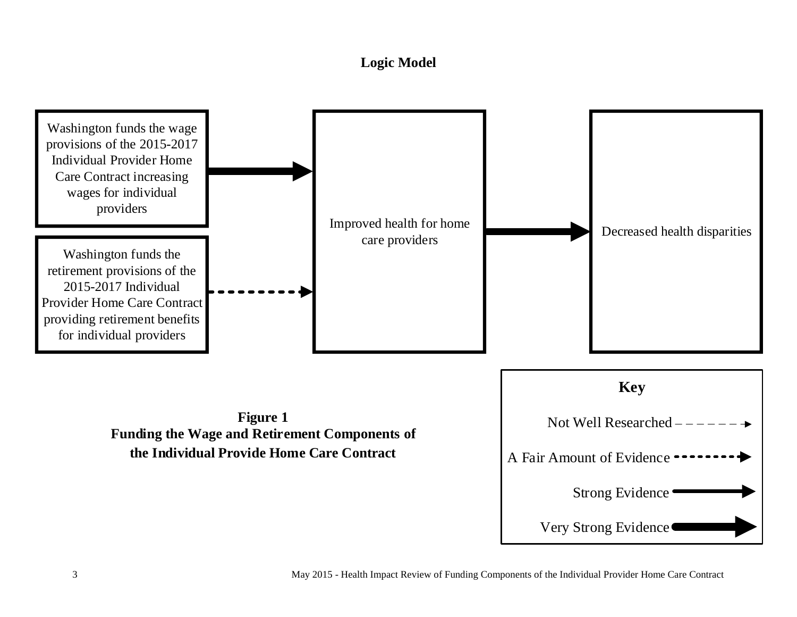# **Logic Model**

<span id="page-4-0"></span>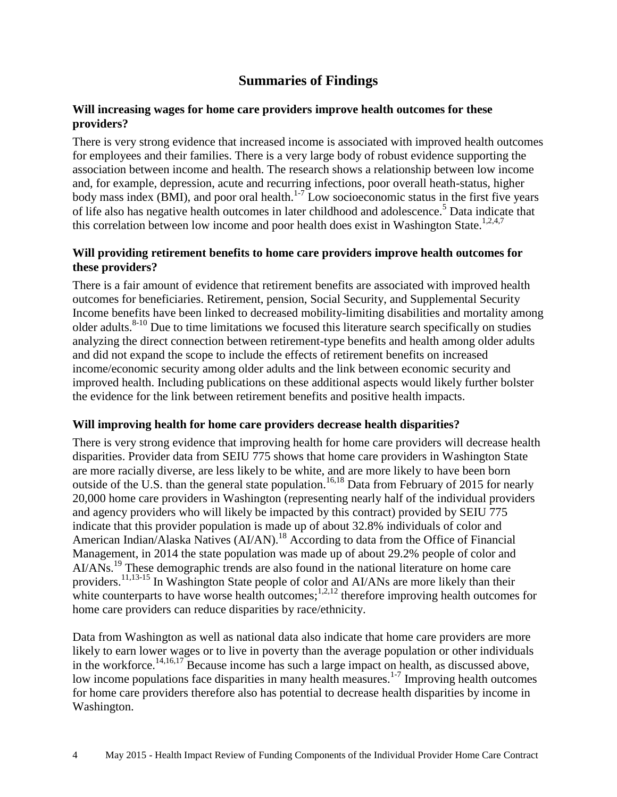# **Summaries of Findings**

#### <span id="page-5-0"></span>**Will increasing wages for home care providers improve health outcomes for these providers?**

There is very strong evidence that increased income is associated with improved health outcomes for employees and their families. There is a very large body of robust evidence supporting the association between income and health. The research shows a relationship between low income and, for example, depression, acute and recurring infections, poor overall heath-status, higher body mass index (BMI), and poor oral health. $1.7$  Low socioeconomic status in the first five years of life also has negative health outcomes in later childhood and adolescence.[5](#page-7-3) Data indicate that this correlation between low income and poor health does exist in Washington State.<sup>[1](#page-7-1)[,2](#page-7-2)[,4](#page-7-4)[,7](#page-8-1)</sup>

#### **Will providing retirement benefits to home care providers improve health outcomes for these providers?**

There is a fair amount of evidence that retirement benefits are associated with improved health outcomes for beneficiaries. Retirement, pension, Social Security, and Supplemental Security Income benefits have been linked to decreased mobility-limiting disabilities and mortality among older adults.<sup>[8-10](#page-8-0)</sup> Due to time limitations we focused this literature search specifically on studies analyzing the direct connection between retirement-type benefits and health among older adults and did not expand the scope to include the effects of retirement benefits on increased income/economic security among older adults and the link between economic security and improved health. Including publications on these additional aspects would likely further bolster the evidence for the link between retirement benefits and positive health impacts.

#### **Will improving health for home care providers decrease health disparities?**

There is very strong evidence that improving health for home care providers will decrease health disparities. Provider data from SEIU 775 shows that home care providers in Washington State are more racially diverse, are less likely to be white, and are more likely to have been born outside of the U.S. than the general state population.<sup>[16,](#page-11-0)[18](#page-12-0)</sup> Data from February of 2015 for nearly 20,000 home care providers in Washington (representing nearly half of the individual providers and agency providers who will likely be impacted by this contract) provided by SEIU 775 indicate that this provider population is made up of about 32.8% individuals of color and American Indian/Alaska Natives (AI/AN).<sup>[18](#page-12-0)</sup> According to data from the Office of Financial Management, in 2014 the state population was made up of about 29.2% people of color and AI/ANs.<sup>[19](#page-12-1)</sup> These demographic trends are also found in the national literature on home care providers.<sup>[11,](#page-9-0)[13-15](#page-10-1)</sup> In Washington State people of color and AI/ANs are more likely than their white counterparts to have worse health outcomes;  $\frac{1}{2}$ ; therefore improving health outcomes for home care providers can reduce disparities by race/ethnicity.

Data from Washington as well as national data also indicate that home care providers are more likely to earn lower wages or to live in poverty than the average population or other individuals in the workforce.<sup>[14,](#page-10-0)[16,](#page-11-0)[17](#page-11-1)</sup> Because income has such a large impact on health, as discussed above, low income populations face disparities in many health measures.<sup>[1-7](#page-7-1)</sup> Improving health outcomes for home care providers therefore also has potential to decrease health disparities by income in Washington.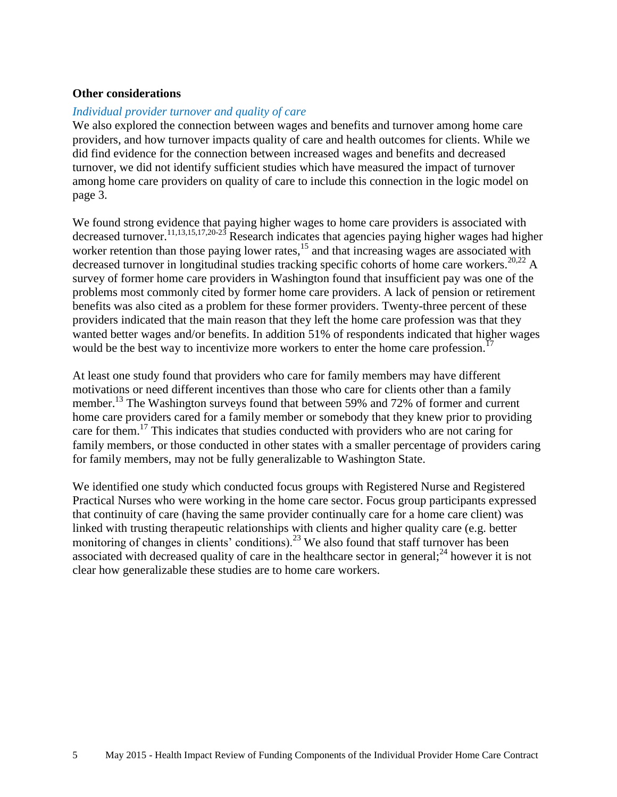#### **Other considerations**

#### *Individual provider turnover and quality of care*

We also explored the connection between wages and benefits and turnover among home care providers, and how turnover impacts quality of care and health outcomes for clients. While we did find evidence for the connection between increased wages and benefits and decreased turnover, we did not identify sufficient studies which have measured the impact of turnover among home care providers on quality of care to include this connection in the logic model on page 3.

We found strong evidence that paying higher wages to home care providers is associated with decreased turnover.<sup>[11](#page-9-0)[,13](#page-10-1)[,15,](#page-11-2)[17](#page-11-1)[,20-23](#page-12-2)</sup> Research indicates that agencies paying higher wages had higher worker retention than those paying lower rates,<sup>[15](#page-11-2)</sup> and that increasing wages are associated with decreased turnover in longitudinal studies tracking specific cohorts of home care workers.<sup>[20](#page-12-2)[,22](#page-13-0)</sup> A survey of former home care providers in Washington found that insufficient pay was one of the problems most commonly cited by former home care providers. A lack of pension or retirement benefits was also cited as a problem for these former providers. Twenty-three percent of these providers indicated that the main reason that they left the home care profession was that they wanted better wages and/or benefits. In addition 51% of respondents indicated that higher wages would be the best way to incentivize more workers to enter the home care profession.<sup>[17](#page-11-1)</sup>

At least one study found that providers who care for family members may have different motivations or need different incentives than those who care for clients other than a family member.<sup>[13](#page-10-1)</sup> The Washington surveys found that between 59% and 72% of former and current home care providers cared for a family member or somebody that they knew prior to providing care for them.<sup>[17](#page-11-1)</sup> This indicates that studies conducted with providers who are not caring for family members, or those conducted in other states with a smaller percentage of providers caring for family members, may not be fully generalizable to Washington State.

We identified one study which conducted focus groups with Registered Nurse and Registered Practical Nurses who were working in the home care sector. Focus group participants expressed that continuity of care (having the same provider continually care for a home care client) was linked with trusting therapeutic relationships with clients and higher quality care (e.g. better monitoring of changes in clients' conditions).<sup>[23](#page-13-1)</sup> We also found that staff turnover has been associated with decreased quality of care in the healthcare sector in general;<sup>[24](#page-14-0)</sup> however it is not clear how generalizable these studies are to home care workers.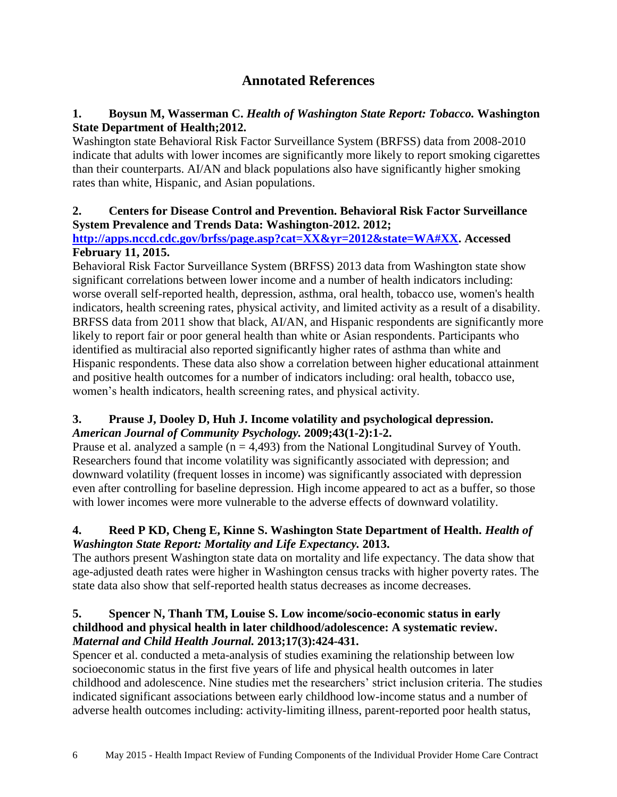# **Annotated References**

## <span id="page-7-1"></span><span id="page-7-0"></span>**1. Boysun M, Wasserman C.** *Health of Washington State Report: Tobacco.* **Washington State Department of Health;2012.**

Washington state Behavioral Risk Factor Surveillance System (BRFSS) data from 2008-2010 indicate that adults with lower incomes are significantly more likely to report smoking cigarettes than their counterparts. AI/AN and black populations also have significantly higher smoking rates than white, Hispanic, and Asian populations.

### <span id="page-7-2"></span>**2. Centers for Disease Control and Prevention. Behavioral Risk Factor Surveillance System Prevalence and Trends Data: Washington-2012. 2012;**

#### **[http://apps.nccd.cdc.gov/brfss/page.asp?cat=XX&yr=2012&state=WA#XX.](http://apps.nccd.cdc.gov/brfss/page.asp?cat=XX&yr=2012&state=WA#XX) Accessed February 11, 2015.**

Behavioral Risk Factor Surveillance System (BRFSS) 2013 data from Washington state show significant correlations between lower income and a number of health indicators including: worse overall self-reported health, depression, asthma, oral health, tobacco use, women's health indicators, health screening rates, physical activity, and limited activity as a result of a disability. BRFSS data from 2011 show that black, AI/AN, and Hispanic respondents are significantly more likely to report fair or poor general health than white or Asian respondents. Participants who identified as multiracial also reported significantly higher rates of asthma than white and Hispanic respondents. These data also show a correlation between higher educational attainment and positive health outcomes for a number of indicators including: oral health, tobacco use, women's health indicators, health screening rates, and physical activity.

## **3. Prause J, Dooley D, Huh J. Income volatility and psychological depression.**  *American Journal of Community Psychology.* **2009;43(1-2):1-2.**

Prause et al. analyzed a sample ( $n = 4,493$ ) from the National Longitudinal Survey of Youth. Researchers found that income volatility was significantly associated with depression; and downward volatility (frequent losses in income) was significantly associated with depression even after controlling for baseline depression. High income appeared to act as a buffer, so those with lower incomes were more vulnerable to the adverse effects of downward volatility.

# <span id="page-7-4"></span>**4. Reed P KD, Cheng E, Kinne S. Washington State Department of Health.** *Health of Washington State Report: Mortality and Life Expectancy.* **2013.**

The authors present Washington state data on mortality and life expectancy. The data show that age-adjusted death rates were higher in Washington census tracks with higher poverty rates. The state data also show that self-reported health status decreases as income decreases.

## <span id="page-7-3"></span>**5. Spencer N, Thanh TM, Louise S. Low income/socio-economic status in early childhood and physical health in later childhood/adolescence: A systematic review.**  *Maternal and Child Health Journal.* **2013;17(3):424-431.**

Spencer et al. conducted a meta-analysis of studies examining the relationship between low socioeconomic status in the first five years of life and physical health outcomes in later childhood and adolescence. Nine studies met the researchers' strict inclusion criteria. The studies indicated significant associations between early childhood low-income status and a number of adverse health outcomes including: activity-limiting illness, parent-reported poor health status,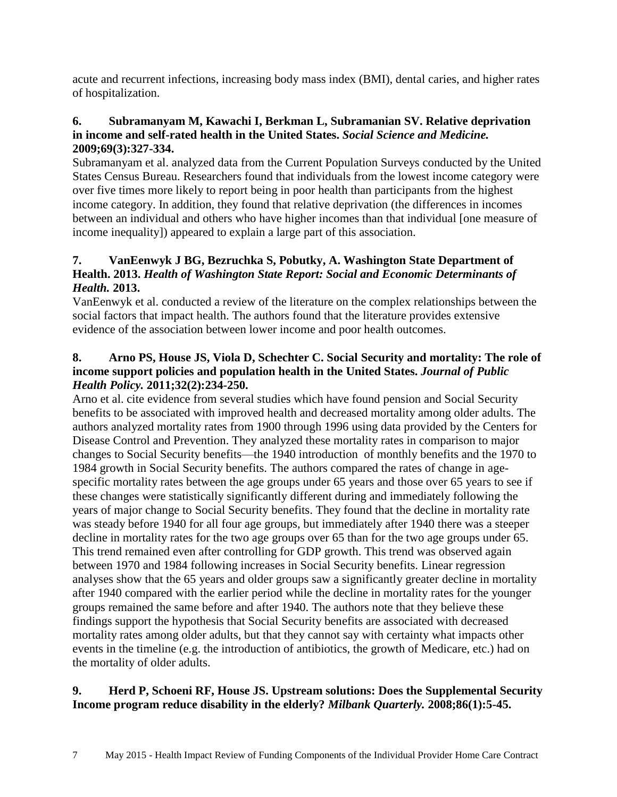acute and recurrent infections, increasing body mass index (BMI), dental caries, and higher rates of hospitalization.

## **6. Subramanyam M, Kawachi I, Berkman L, Subramanian SV. Relative deprivation in income and self-rated health in the United States.** *Social Science and Medicine.*  **2009;69(3):327-334.**

Subramanyam et al. analyzed data from the Current Population Surveys conducted by the United States Census Bureau. Researchers found that individuals from the lowest income category were over five times more likely to report being in poor health than participants from the highest income category. In addition, they found that relative deprivation (the differences in incomes between an individual and others who have higher incomes than that individual [one measure of income inequality]) appeared to explain a large part of this association.

# <span id="page-8-1"></span>**7. VanEenwyk J BG, Bezruchka S, Pobutky, A. Washington State Department of Health. 2013.** *Health of Washington State Report: Social and Economic Determinants of Health.* **2013.**

VanEenwyk et al. conducted a review of the literature on the complex relationships between the social factors that impact health. The authors found that the literature provides extensive evidence of the association between lower income and poor health outcomes.

## <span id="page-8-0"></span>**8. Arno PS, House JS, Viola D, Schechter C. Social Security and mortality: The role of income support policies and population health in the United States.** *Journal of Public Health Policy.* **2011;32(2):234-250.**

Arno et al. cite evidence from several studies which have found pension and Social Security benefits to be associated with improved health and decreased mortality among older adults. The authors analyzed mortality rates from 1900 through 1996 using data provided by the Centers for Disease Control and Prevention. They analyzed these mortality rates in comparison to major changes to Social Security benefits—the 1940 introduction of monthly benefits and the 1970 to 1984 growth in Social Security benefits. The authors compared the rates of change in agespecific mortality rates between the age groups under 65 years and those over 65 years to see if these changes were statistically significantly different during and immediately following the years of major change to Social Security benefits. They found that the decline in mortality rate was steady before 1940 for all four age groups, but immediately after 1940 there was a steeper decline in mortality rates for the two age groups over 65 than for the two age groups under 65. This trend remained even after controlling for GDP growth. This trend was observed again between 1970 and 1984 following increases in Social Security benefits. Linear regression analyses show that the 65 years and older groups saw a significantly greater decline in mortality after 1940 compared with the earlier period while the decline in mortality rates for the younger groups remained the same before and after 1940. The authors note that they believe these findings support the hypothesis that Social Security benefits are associated with decreased mortality rates among older adults, but that they cannot say with certainty what impacts other events in the timeline (e.g. the introduction of antibiotics, the growth of Medicare, etc.) had on the mortality of older adults.

# **9. Herd P, Schoeni RF, House JS. Upstream solutions: Does the Supplemental Security Income program reduce disability in the elderly?** *Milbank Quarterly.* **2008;86(1):5-45.**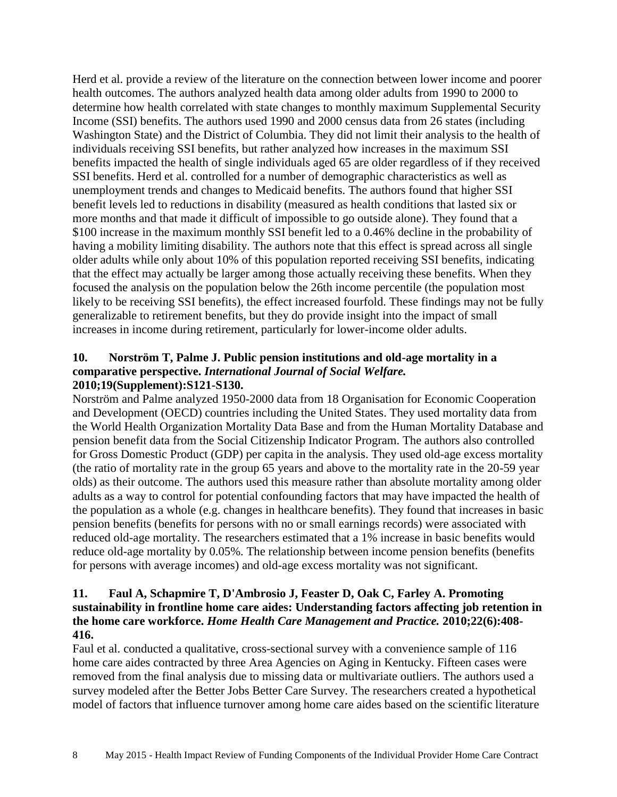Herd et al. provide a review of the literature on the connection between lower income and poorer health outcomes. The authors analyzed health data among older adults from 1990 to 2000 to determine how health correlated with state changes to monthly maximum Supplemental Security Income (SSI) benefits. The authors used 1990 and 2000 census data from 26 states (including Washington State) and the District of Columbia. They did not limit their analysis to the health of individuals receiving SSI benefits, but rather analyzed how increases in the maximum SSI benefits impacted the health of single individuals aged 65 are older regardless of if they received SSI benefits. Herd et al. controlled for a number of demographic characteristics as well as unemployment trends and changes to Medicaid benefits. The authors found that higher SSI benefit levels led to reductions in disability (measured as health conditions that lasted six or more months and that made it difficult of impossible to go outside alone). They found that a \$100 increase in the maximum monthly SSI benefit led to a 0.46% decline in the probability of having a mobility limiting disability. The authors note that this effect is spread across all single older adults while only about 10% of this population reported receiving SSI benefits, indicating that the effect may actually be larger among those actually receiving these benefits. When they focused the analysis on the population below the 26th income percentile (the population most likely to be receiving SSI benefits), the effect increased fourfold. These findings may not be fully generalizable to retirement benefits, but they do provide insight into the impact of small increases in income during retirement, particularly for lower-income older adults.

#### **10. Norström T, Palme J. Public pension institutions and old-age mortality in a comparative perspective.** *International Journal of Social Welfare.*  **2010;19(Supplement):S121-S130.**

Norström and Palme analyzed 1950-2000 data from 18 Organisation for Economic Cooperation and Development (OECD) countries including the United States. They used mortality data from the World Health Organization Mortality Data Base and from the Human Mortality Database and pension benefit data from the Social Citizenship Indicator Program. The authors also controlled for Gross Domestic Product (GDP) per capita in the analysis. They used old-age excess mortality (the ratio of mortality rate in the group 65 years and above to the mortality rate in the 20-59 year olds) as their outcome. The authors used this measure rather than absolute mortality among older adults as a way to control for potential confounding factors that may have impacted the health of the population as a whole (e.g. changes in healthcare benefits). They found that increases in basic pension benefits (benefits for persons with no or small earnings records) were associated with reduced old-age mortality. The researchers estimated that a 1% increase in basic benefits would reduce old-age mortality by 0.05%. The relationship between income pension benefits (benefits for persons with average incomes) and old-age excess mortality was not significant.

#### <span id="page-9-0"></span>**11. Faul A, Schapmire T, D'Ambrosio J, Feaster D, Oak C, Farley A. Promoting sustainability in frontline home care aides: Understanding factors affecting job retention in the home care workforce.** *Home Health Care Management and Practice.* **2010;22(6):408- 416.**

Faul et al. conducted a qualitative, cross-sectional survey with a convenience sample of 116 home care aides contracted by three Area Agencies on Aging in Kentucky. Fifteen cases were removed from the final analysis due to missing data or multivariate outliers. The authors used a survey modeled after the Better Jobs Better Care Survey. The researchers created a hypothetical model of factors that influence turnover among home care aides based on the scientific literature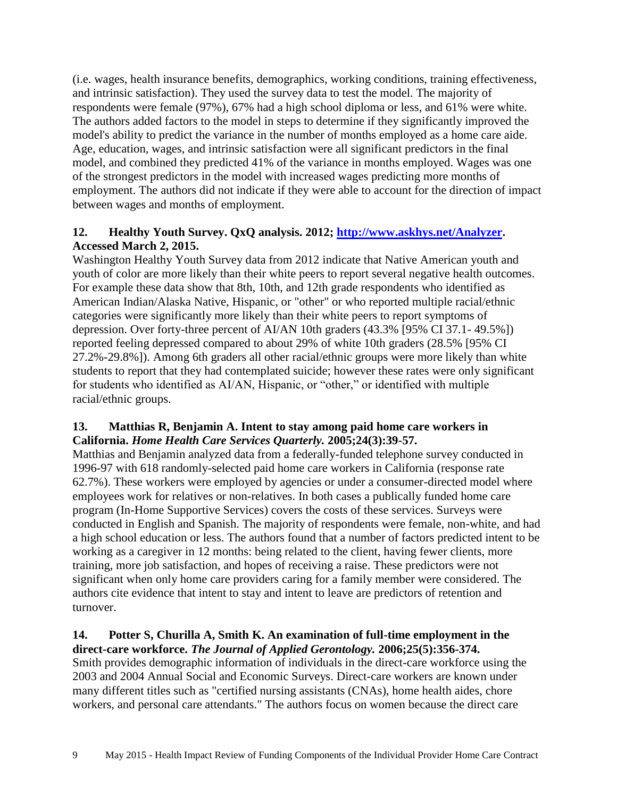(i.e. wages, health insurance benefits, demographics, working conditions, training effectiveness, and intrinsic satisfaction). They used the survey data to test the model. The majority of respondents were female (97%), 67% had a high school diploma or less, and 61% were white. The authors added factors to the model in steps to determine if they significantly improved the model's ability to predict the variance in the number of months employed as a home care aide. Age, education, wages, and intrinsic satisfaction were all significant predictors in the final model, and combined they predicted 41% of the variance in months employed. Wages was one of the strongest predictors in the model with increased wages predicting more months of employment. The authors did not indicate if they were able to account for the direction of impact between wages and months of employment.

# <span id="page-10-2"></span>**12. Healthy Youth Survey. QxQ analysis. 2012; [http://www.askhys.net/Analyzer.](http://www.askhys.net/Analyzer) Accessed March 2, 2015.**

Washington Healthy Youth Survey data from 2012 indicate that Native American youth and youth of color are more likely than their white peers to report several negative health outcomes. For example these data show that 8th, 10th, and 12th grade respondents who identified as American Indian/Alaska Native, Hispanic, or "other" or who reported multiple racial/ethnic categories were significantly more likely than their white peers to report symptoms of depression. Over forty-three percent of AI/AN 10th graders (43.3% [95% CI 37.1- 49.5%]) reported feeling depressed compared to about 29% of white 10th graders (28.5% [95% CI 27.2%-29.8%]). Among 6th graders all other racial/ethnic groups were more likely than white students to report that they had contemplated suicide; however these rates were only significant for students who identified as AI/AN, Hispanic, or "other," or identified with multiple racial/ethnic groups.

#### <span id="page-10-1"></span>**13. Matthias R, Benjamin A. Intent to stay among paid home care workers in California.** *Home Health Care Services Quarterly.* **2005;24(3):39-57.**

Matthias and Benjamin analyzed data from a federally-funded telephone survey conducted in 1996-97 with 618 randomly-selected paid home care workers in California (response rate 62.7%). These workers were employed by agencies or under a consumer-directed model where employees work for relatives or non-relatives. In both cases a publically funded home care program (In-Home Supportive Services) covers the costs of these services. Surveys were conducted in English and Spanish. The majority of respondents were female, non-white, and had a high school education or less. The authors found that a number of factors predicted intent to be working as a caregiver in 12 months: being related to the client, having fewer clients, more training, more job satisfaction, and hopes of receiving a raise. These predictors were not significant when only home care providers caring for a family member were considered. The authors cite evidence that intent to stay and intent to leave are predictors of retention and turnover.

#### <span id="page-10-0"></span>**14. Potter S, Churilla A, Smith K. An examination of full-time employment in the direct-care workforce.** *The Journal of Applied Gerontology.* **2006;25(5):356-374.**

Smith provides demographic information of individuals in the direct-care workforce using the 2003 and 2004 Annual Social and Economic Surveys. Direct-care workers are known under many different titles such as "certified nursing assistants (CNAs), home health aides, chore workers, and personal care attendants." The authors focus on women because the direct care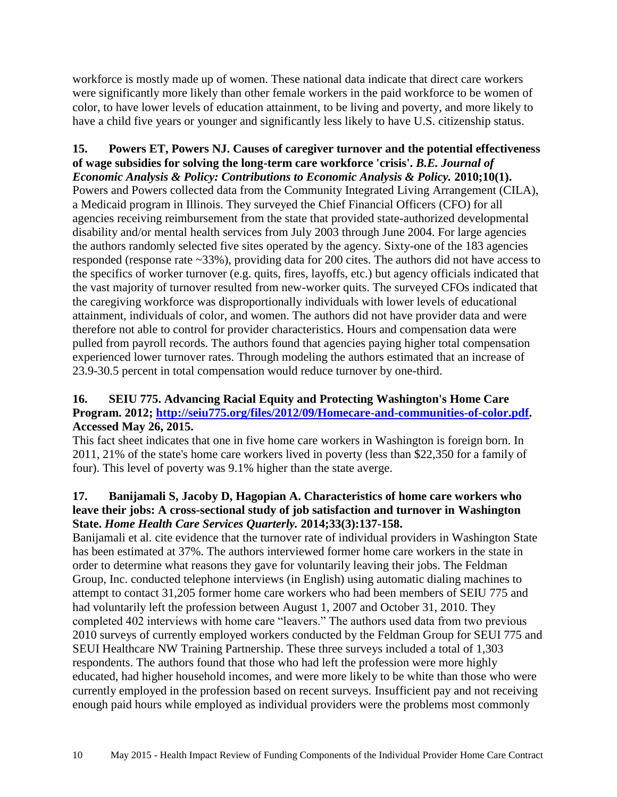workforce is mostly made up of women. These national data indicate that direct care workers were significantly more likely than other female workers in the paid workforce to be women of color, to have lower levels of education attainment, to be living and poverty, and more likely to have a child five years or younger and significantly less likely to have U.S. citizenship status.

# <span id="page-11-2"></span>**15. Powers ET, Powers NJ. Causes of caregiver turnover and the potential effectiveness of wage subsidies for solving the long-term care workforce 'crisis'.** *B.E. Journal of*

*Economic Analysis & Policy: Contributions to Economic Analysis & Policy.* 2010;10(1). Powers and Powers collected data from the Community Integrated Living Arrangement (CILA), a Medicaid program in Illinois. They surveyed the Chief Financial Officers (CFO) for all agencies receiving reimbursement from the state that provided state-authorized developmental disability and/or mental health services from July 2003 through June 2004. For large agencies the authors randomly selected five sites operated by the agency. Sixty-one of the 183 agencies responded (response rate ~33%), providing data for 200 cites. The authors did not have access to the specifics of worker turnover (e.g. quits, fires, layoffs, etc.) but agency officials indicated that the vast majority of turnover resulted from new-worker quits. The surveyed CFOs indicated that the caregiving workforce was disproportionally individuals with lower levels of educational attainment, individuals of color, and women. The authors did not have provider data and were therefore not able to control for provider characteristics. Hours and compensation data were pulled from payroll records. The authors found that agencies paying higher total compensation experienced lower turnover rates. Through modeling the authors estimated that an increase of 23.9-30.5 percent in total compensation would reduce turnover by one-third.

### <span id="page-11-0"></span>**16. SEIU 775. Advancing Racial Equity and Protecting Washington's Home Care Program. 2012; [http://seiu775.org/files/2012/09/Homecare-and-communities-of-color.pdf.](http://seiu775.org/files/2012/09/Homecare-and-communities-of-color.pdf) Accessed May 26, 2015.**

This fact sheet indicates that one in five home care workers in Washington is foreign born. In 2011, 21% of the state's home care workers lived in poverty (less than \$22,350 for a family of four). This level of poverty was 9.1% higher than the state averge.

#### <span id="page-11-1"></span>**17. Banijamali S, Jacoby D, Hagopian A. Characteristics of home care workers who leave their jobs: A cross-sectional study of job satisfaction and turnover in Washington State.** *Home Health Care Services Quarterly.* **2014;33(3):137-158.**

Banijamali et al. cite evidence that the turnover rate of individual providers in Washington State has been estimated at 37%. The authors interviewed former home care workers in the state in order to determine what reasons they gave for voluntarily leaving their jobs. The Feldman Group, Inc. conducted telephone interviews (in English) using automatic dialing machines to attempt to contact 31,205 former home care workers who had been members of SEIU 775 and had voluntarily left the profession between August 1, 2007 and October 31, 2010. They completed 402 interviews with home care "leavers." The authors used data from two previous 2010 surveys of currently employed workers conducted by the Feldman Group for SEUI 775 and SEUI Healthcare NW Training Partnership. These three surveys included a total of 1,303 respondents. The authors found that those who had left the profession were more highly educated, had higher household incomes, and were more likely to be white than those who were currently employed in the profession based on recent surveys. Insufficient pay and not receiving enough paid hours while employed as individual providers were the problems most commonly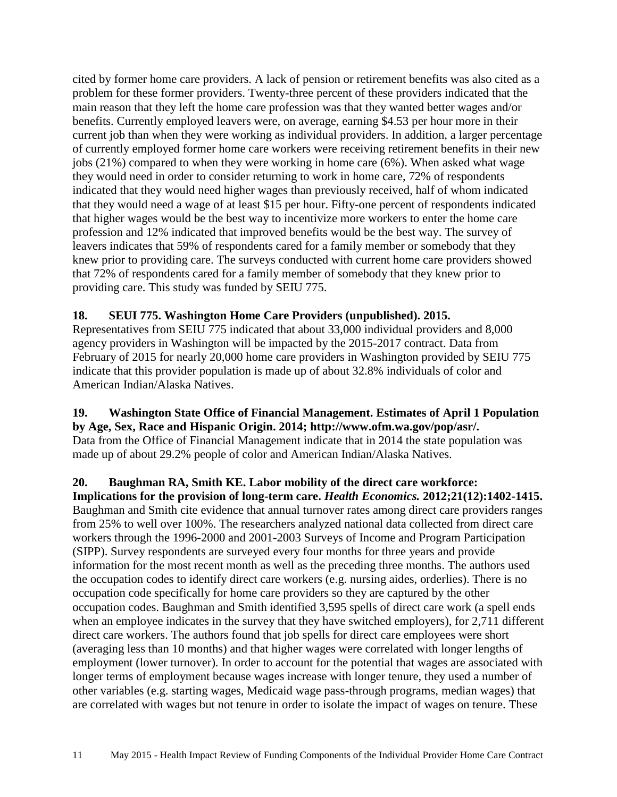cited by former home care providers. A lack of pension or retirement benefits was also cited as a problem for these former providers. Twenty-three percent of these providers indicated that the main reason that they left the home care profession was that they wanted better wages and/or benefits. Currently employed leavers were, on average, earning \$4.53 per hour more in their current job than when they were working as individual providers. In addition, a larger percentage of currently employed former home care workers were receiving retirement benefits in their new jobs (21%) compared to when they were working in home care (6%). When asked what wage they would need in order to consider returning to work in home care, 72% of respondents indicated that they would need higher wages than previously received, half of whom indicated that they would need a wage of at least \$15 per hour. Fifty-one percent of respondents indicated that higher wages would be the best way to incentivize more workers to enter the home care profession and 12% indicated that improved benefits would be the best way. The survey of leavers indicates that 59% of respondents cared for a family member or somebody that they knew prior to providing care. The surveys conducted with current home care providers showed that 72% of respondents cared for a family member of somebody that they knew prior to providing care. This study was funded by SEIU 775.

#### <span id="page-12-0"></span>**18. SEUI 775. Washington Home Care Providers (unpublished). 2015.**

Representatives from SEIU 775 indicated that about 33,000 individual providers and 8,000 agency providers in Washington will be impacted by the 2015-2017 contract. Data from February of 2015 for nearly 20,000 home care providers in Washington provided by SEIU 775 indicate that this provider population is made up of about 32.8% individuals of color and American Indian/Alaska Natives.

#### <span id="page-12-1"></span>**19. Washington State Office of Financial Management. Estimates of April 1 Population**

**by Age, Sex, Race and Hispanic Origin. 2014; http://www.ofm.wa.gov/pop/asr/.**  Data from the Office of Financial Management indicate that in 2014 the state population was made up of about 29.2% people of color and American Indian/Alaska Natives.

<span id="page-12-2"></span>**20. Baughman RA, Smith KE. Labor mobility of the direct care workforce: Implications for the provision of long-term care.** *Health Economics.* **2012;21(12):1402-1415.** Baughman and Smith cite evidence that annual turnover rates among direct care providers ranges from 25% to well over 100%. The researchers analyzed national data collected from direct care workers through the 1996-2000 and 2001-2003 Surveys of Income and Program Participation (SIPP). Survey respondents are surveyed every four months for three years and provide information for the most recent month as well as the preceding three months. The authors used the occupation codes to identify direct care workers (e.g. nursing aides, orderlies). There is no occupation code specifically for home care providers so they are captured by the other occupation codes. Baughman and Smith identified 3,595 spells of direct care work (a spell ends when an employee indicates in the survey that they have switched employers), for 2,711 different direct care workers. The authors found that job spells for direct care employees were short (averaging less than 10 months) and that higher wages were correlated with longer lengths of employment (lower turnover). In order to account for the potential that wages are associated with longer terms of employment because wages increase with longer tenure, they used a number of other variables (e.g. starting wages, Medicaid wage pass-through programs, median wages) that are correlated with wages but not tenure in order to isolate the impact of wages on tenure. These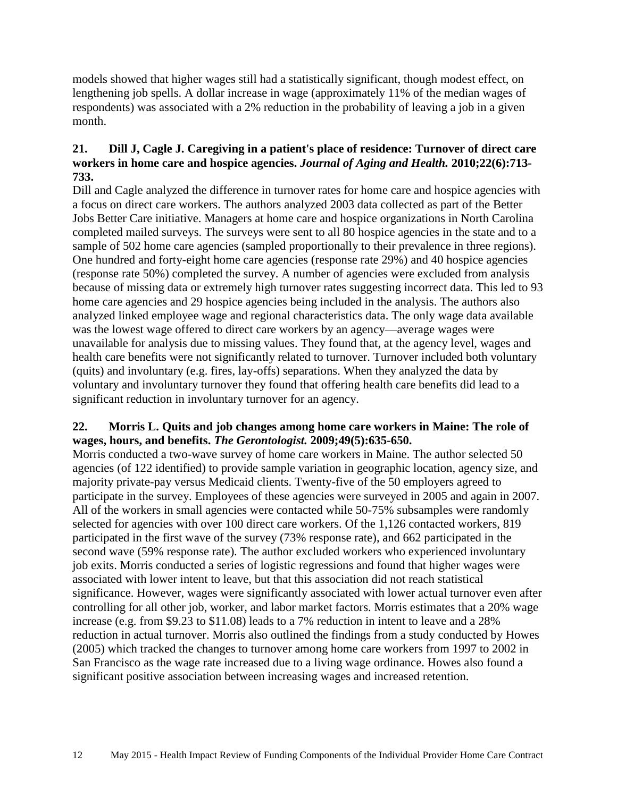models showed that higher wages still had a statistically significant, though modest effect, on lengthening job spells. A dollar increase in wage (approximately 11% of the median wages of respondents) was associated with a 2% reduction in the probability of leaving a job in a given month.

#### **21. Dill J, Cagle J. Caregiving in a patient's place of residence: Turnover of direct care workers in home care and hospice agencies.** *Journal of Aging and Health.* **2010;22(6):713- 733.**

Dill and Cagle analyzed the difference in turnover rates for home care and hospice agencies with a focus on direct care workers. The authors analyzed 2003 data collected as part of the Better Jobs Better Care initiative. Managers at home care and hospice organizations in North Carolina completed mailed surveys. The surveys were sent to all 80 hospice agencies in the state and to a sample of 502 home care agencies (sampled proportionally to their prevalence in three regions). One hundred and forty-eight home care agencies (response rate 29%) and 40 hospice agencies (response rate 50%) completed the survey. A number of agencies were excluded from analysis because of missing data or extremely high turnover rates suggesting incorrect data. This led to 93 home care agencies and 29 hospice agencies being included in the analysis. The authors also analyzed linked employee wage and regional characteristics data. The only wage data available was the lowest wage offered to direct care workers by an agency—average wages were unavailable for analysis due to missing values. They found that, at the agency level, wages and health care benefits were not significantly related to turnover. Turnover included both voluntary (quits) and involuntary (e.g. fires, lay-offs) separations. When they analyzed the data by voluntary and involuntary turnover they found that offering health care benefits did lead to a significant reduction in involuntary turnover for an agency.

#### <span id="page-13-0"></span>**22. Morris L. Quits and job changes among home care workers in Maine: The role of wages, hours, and benefits.** *The Gerontologist.* **2009;49(5):635-650.**

<span id="page-13-1"></span>Morris conducted a two-wave survey of home care workers in Maine. The author selected 50 agencies (of 122 identified) to provide sample variation in geographic location, agency size, and majority private-pay versus Medicaid clients. Twenty-five of the 50 employers agreed to participate in the survey. Employees of these agencies were surveyed in 2005 and again in 2007. All of the workers in small agencies were contacted while 50-75% subsamples were randomly selected for agencies with over 100 direct care workers. Of the 1,126 contacted workers, 819 participated in the first wave of the survey (73% response rate), and 662 participated in the second wave (59% response rate). The author excluded workers who experienced involuntary job exits. Morris conducted a series of logistic regressions and found that higher wages were associated with lower intent to leave, but that this association did not reach statistical significance. However, wages were significantly associated with lower actual turnover even after controlling for all other job, worker, and labor market factors. Morris estimates that a 20% wage increase (e.g. from \$9.23 to \$11.08) leads to a 7% reduction in intent to leave and a 28% reduction in actual turnover. Morris also outlined the findings from a study conducted by Howes (2005) which tracked the changes to turnover among home care workers from 1997 to 2002 in San Francisco as the wage rate increased due to a living wage ordinance. Howes also found a significant positive association between increasing wages and increased retention.